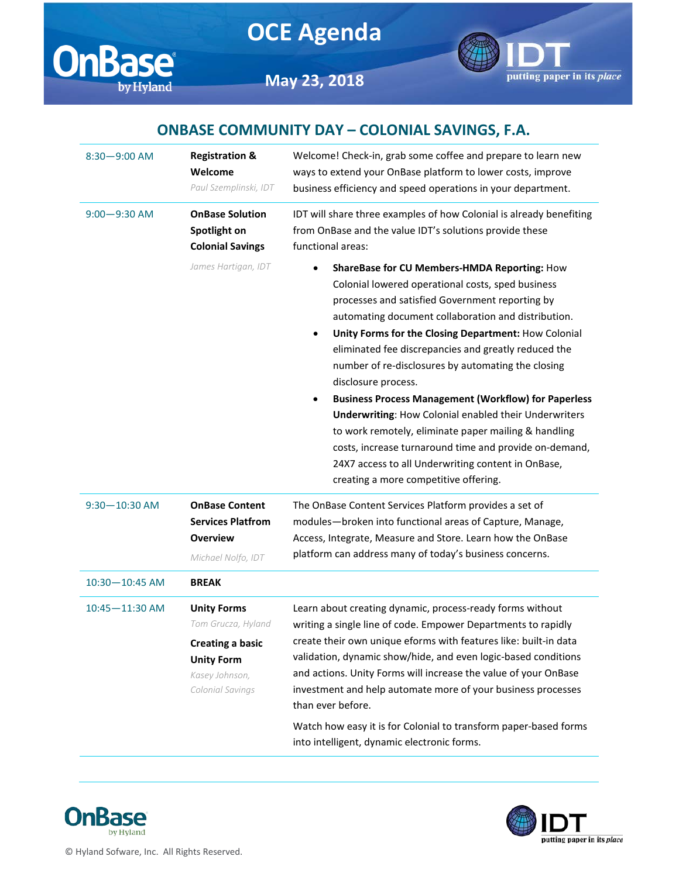





**May 23, 2018**

## **ONBASE COMMUNITY DAY – COLONIAL SAVINGS, F.A.**

| $8:30 - 9:00$ AM  | <b>Registration &amp;</b><br>Welcome<br>Paul Szemplinski, IDT                                                                  | Welcome! Check-in, grab some coffee and prepare to learn new<br>ways to extend your OnBase platform to lower costs, improve<br>business efficiency and speed operations in your department.                                                                                                                                                                                                                                                                                                                                                                                                                                                                                                                                                                                     |  |
|-------------------|--------------------------------------------------------------------------------------------------------------------------------|---------------------------------------------------------------------------------------------------------------------------------------------------------------------------------------------------------------------------------------------------------------------------------------------------------------------------------------------------------------------------------------------------------------------------------------------------------------------------------------------------------------------------------------------------------------------------------------------------------------------------------------------------------------------------------------------------------------------------------------------------------------------------------|--|
| $9:00 - 9:30$ AM  | <b>OnBase Solution</b><br>Spotlight on<br><b>Colonial Savings</b>                                                              | IDT will share three examples of how Colonial is already benefiting<br>from OnBase and the value IDT's solutions provide these<br>functional areas:                                                                                                                                                                                                                                                                                                                                                                                                                                                                                                                                                                                                                             |  |
|                   | James Hartigan, IDT                                                                                                            | ShareBase for CU Members-HMDA Reporting: How<br>$\bullet$<br>Colonial lowered operational costs, sped business<br>processes and satisfied Government reporting by<br>automating document collaboration and distribution.<br>Unity Forms for the Closing Department: How Colonial<br>٠<br>eliminated fee discrepancies and greatly reduced the<br>number of re-disclosures by automating the closing<br>disclosure process.<br><b>Business Process Management (Workflow) for Paperless</b><br>٠<br><b>Underwriting: How Colonial enabled their Underwriters</b><br>to work remotely, eliminate paper mailing & handling<br>costs, increase turnaround time and provide on-demand,<br>24X7 access to all Underwriting content in OnBase,<br>creating a more competitive offering. |  |
| $9:30 - 10:30$ AM | <b>OnBase Content</b><br><b>Services Platfrom</b><br><b>Overview</b><br>Michael Nolfo, IDT                                     | The OnBase Content Services Platform provides a set of<br>modules-broken into functional areas of Capture, Manage,<br>Access, Integrate, Measure and Store. Learn how the OnBase<br>platform can address many of today's business concerns.                                                                                                                                                                                                                                                                                                                                                                                                                                                                                                                                     |  |
| 10:30-10:45 AM    | <b>BREAK</b>                                                                                                                   |                                                                                                                                                                                                                                                                                                                                                                                                                                                                                                                                                                                                                                                                                                                                                                                 |  |
| 10:45-11:30 AM    | <b>Unity Forms</b><br>Tom Grucza, Hyland<br><b>Creating a basic</b><br><b>Unity Form</b><br>Kasey Johnson,<br>Colonial Savings | Learn about creating dynamic, process-ready forms without<br>writing a single line of code. Empower Departments to rapidly<br>create their own unique eforms with features like: built-in data<br>validation, dynamic show/hide, and even logic-based conditions<br>and actions. Unity Forms will increase the value of your OnBase<br>investment and help automate more of your business processes<br>than ever before.                                                                                                                                                                                                                                                                                                                                                        |  |
|                   |                                                                                                                                | Watch how easy it is for Colonial to transform paper-based forms<br>into intelligent, dynamic electronic forms.                                                                                                                                                                                                                                                                                                                                                                                                                                                                                                                                                                                                                                                                 |  |





© Hyland Sofware, Inc. All Rights Reserved.